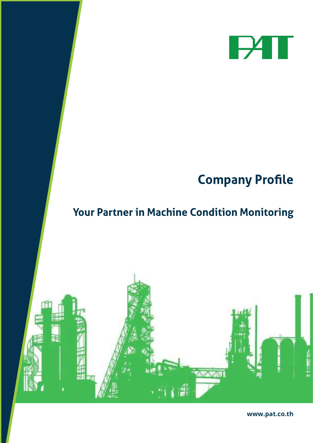

## **Company Profile**

## Your Partner in Machine Condition Monitoring



www.pat.co.th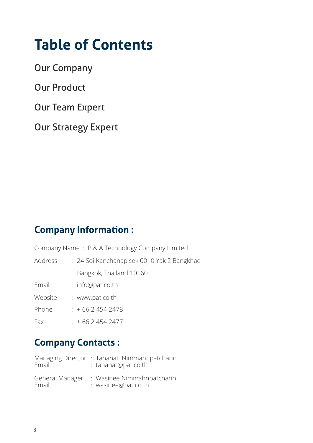## **Table of Contents**

**Our Company** 

**Our Product** 

**Our Team Expert** 

**Our Strategy Expert** 

### **Company Information:**

Company Name : P & A Technology Company Limited

Address : 24 Soi Kanchanapisek 0010 Yak 2 Bangkhae Bangkok, Thailand 10160

Email : info@pat.co.th

Website : www.pat.co.th

Phone : +66 2 454 2478

Fax : +66 2 454 2477

### **Company Contacts:**

| Email                    | Managing Director: Tananat Nimmahnpatcharin<br>: tananat@pat.co.th |
|--------------------------|--------------------------------------------------------------------|
| General Manager<br>Email | : Wasinee Nimmahnpatcharin<br>: wasinee@pat.co.th                  |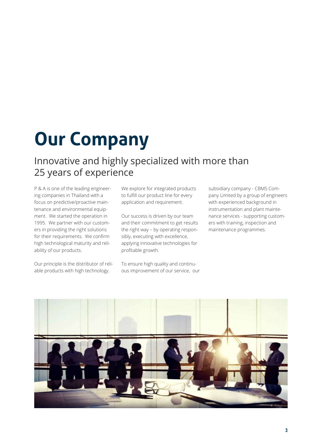# **Our Company**

### Innovative and highly specialized with more than 25 years of experience

P & A is one of the leading engineering companies in Thailand with a focus on predictive/proactive maintenance and environmental equipment. We started the operation in 1995. We partner with our customers in providing the right solutions for their requirements. We confirm high technological maturity and reliability of our products.

Our principle is the distributor of reliable products with high technology.

We explore for integrated products to fulfill our product line for every application and requirement.

Our success is driven by our team and their commitment to get results the right way – by operating responsibly, executing with excellence, applying innovative technologies for profitable growth.

To ensure high quality and continuous improvement of our service, our subsidiary company - CBMS Company Limited by a group of engineers with experienced background in instrumentation and plant maintenance services - supporting customers with training, inspection and maintenance programmes.

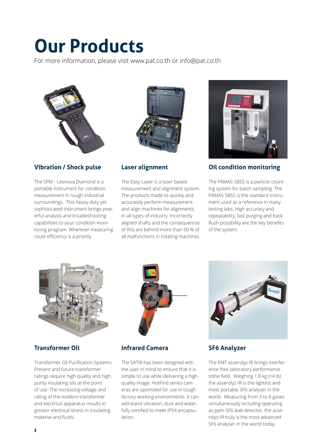# **Our Products**

For more information, please visit www.pat.co.th or info@pat.co.th



#### **Vibration / Shock pulse**

The SPM - Leonova Diamond is a portable instrument for condition measurement in rough industrial surroundings. This heavy-duty yet sophisticated instrument brings powerful analysis and troubleshooting capabilities to your condition monitoring program. Wherever measuring route efficiency is a priority.



#### **Laser alignment**

The Easy-Laser is a laser based measurement and alignment system. The products made to quickly and accurately perform measurement and align machines for alignments in all types of industry. Incorrectly aligned shafts and the consequences of this are behind more than 50 % of all malfunctions in rotating machines.



#### **Oil condition monitoring**

The PAMAS SBSS is a particle counting system for batch sampling. The PAMAS SBSS is the standard instrument used as a reference in many testing labs. High accuracy and repeatability, fast purging and back flush possibility are the key benefits of the system.



#### **Transformer Oil**

Transformer Oil Purification Systems Present and future transformer ratings require high quality and high purity insulating oils at the point of use. The increasing voltage and rating of the modern transformer and electrical apparatus results in greater electrical stress in insulating material and fluids.



#### **Infrared Camera**

The SATIR has been designed with the user in mind to ensure that it is simple to use while delivering a high quality image. HotFind series cameras are optimized for use in tough factory working environments. It can withstand vibration, dust and water, fully certified to meet IP54 encapsulation.



#### **SF6 Analyzer**

The EMT asserolyz-IR brings interference free laboratory performance tothe field. Weighing 1.8 kg (<4 lb) the asserolyz-IR is the lightest and most portable SF6 analyser in the world. Measuring from 3 to 8 gases simultaneously including operating as ppm SF6 leak detector, the asserolyz-IR truly is the most advanced SF6 analyser in the world today.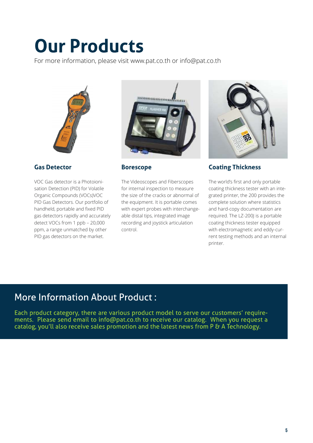# **Our Products**

For more information, please visit www.pat.co.th or info@pat.co.th



#### **Gas Detector**

VOC Gas detector is a Photoionisation Detection (PID) for Volatile Organic Compounds (VOCs)VOC PID Gas Detectors. Our portfolio of handheld, portable and fixed PID gas detectors rapidly and accurately detect VOCs from 1 ppb – 20,000 ppm, a range unmatched by other PID gas detectors on the market.



#### **Borescope**

The Videoscopes and Fiberscopes for internal inspection to measure the size of the cracks or abnormal of the equipment. It is portable comes with expert probes with interchangeable distal tips, integrated image recording and joystick articulation control.



#### **Coating Thickness**

The world's first and only portable coating thickness tester with an integrated printer, the 200 provides the complete solution where statistics and hard-copy documentation are required. The LZ-200J is a portable coating thickness tester equipped with electromagnetic and eddy-current testing methods and an internal printer.

### **More Information About Product:**

Each product category, there are various product model to serve our customers' requirements. Please send email to info@pat.co.th to receive our catalog. When you request a catalog, you'll also receive sales promotion and the latest news from P & A Technology.